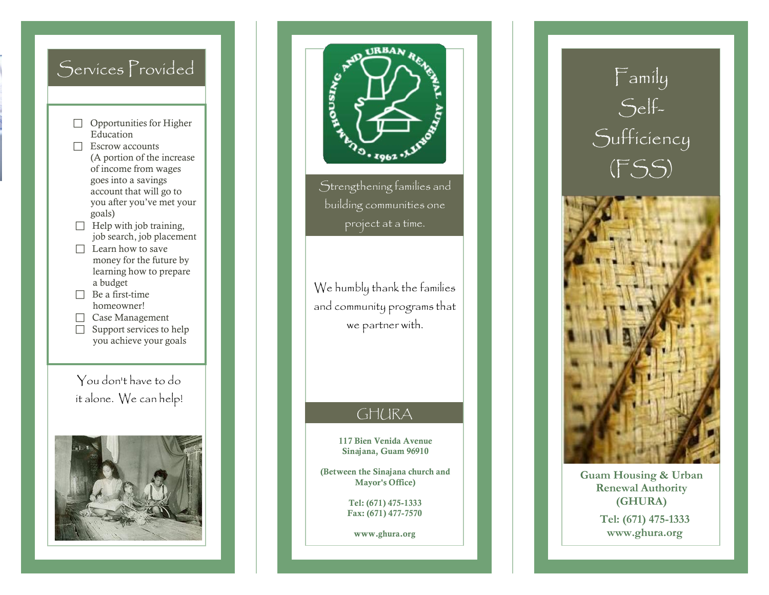# Serv ices P rovided

- $\Box$  Opportunities for Higher Education
- □ Escrow accounts (A portion of the increase of inc ome from wa ges goes into a savings a c cou n t t h a t w i l l go to you aft e r you' v e met your g oals)
- $\Box$  Help with job training, job search, job placement
- $\Box$  Learn how to save money for the future by learning how to prepare a bud get
- $\Box$  Be a first-time homeowner!
- □ Case Management
- $\Box$  Support services to help you achieve your goals

Yo u do n ' t h a v e to do it alone. We can help! l





Strengthening families and building communities one p r oj ect at a tim e .

We humbly thank the famílíes l a n d c o m m u n ity p r o g r ams t hat we partner with.

### GHU R A

117 Bien Venida Avenue Sinajana, Guam 96910

(Between the Sinajana church and Mayor's Office)

> Tel: (671) 475-1333 F a x : ( 6 7 1 ) 477 -7570

[www](http://www.ghura.org/).ghura.org



**Guam H o using & U rban Rene wal A u t h o r ity ( G HURA ) Tel: (67 1 ) 47 5 - 1333**  [www.gh](http://www.ghura.org/)ura.org